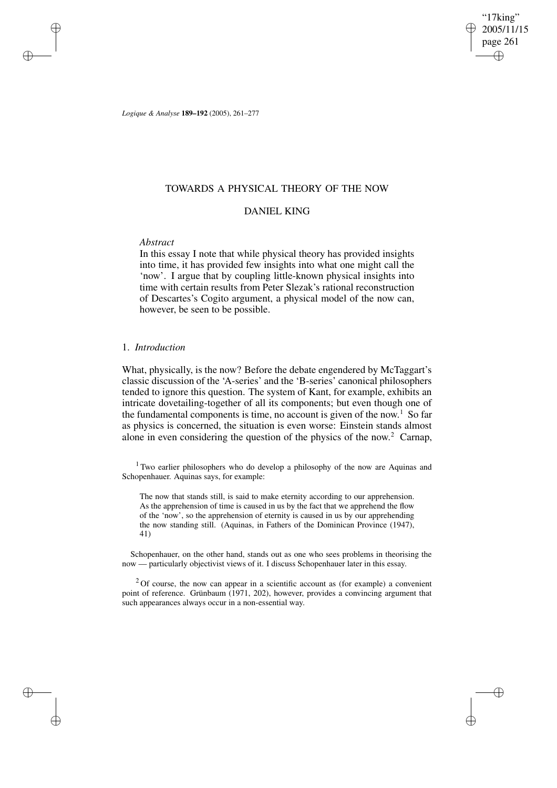"17king" 2005/11/15 page 261 ✐ ✐

✐

✐

*Logique & Analyse* **189–192** (2005), 261–277

## TOWARDS A PHYSICAL THEORY OF THE NOW

# DANIEL KING

## *Abstract*

✐

✐

✐

✐

In this essay I note that while physical theory has provided insights into time, it has provided few insights into what one might call the 'now'. I argue that by coupling little-known physical insights into time with certain results from Peter Slezak's rational reconstruction of Descartes's Cogito argument, a physical model of the now can, however, be seen to be possible.

## 1. *Introduction*

What, physically, is the now? Before the debate engendered by McTaggart's classic discussion of the 'A-series' and the 'B-series' canonical philosophers tended to ignore this question. The system of Kant, for example, exhibits an intricate dovetailing-together of all its components; but even though one of the fundamental components is time, no account is given of the now. <sup>1</sup> So far as physics is concerned, the situation is even worse: Einstein stands almost alone in even considering the question of the physics of the now. <sup>2</sup> Carnap,

<sup>1</sup> Two earlier philosophers who do develop a philosophy of the now are Aquinas and Schopenhauer. Aquinas says, for example:

The now that stands still, is said to make eternity according to our apprehension. As the apprehension of time is caused in us by the fact that we apprehend the flow of the 'now', so the apprehension of eternity is caused in us by our apprehending the now standing still. (Aquinas, in Fathers of the Dominican Province (1947), 41)

Schopenhauer, on the other hand, stands out as one who sees problems in theorising the now — particularly objectivist views of it. I discuss Schopenhauer later in this essay.

 $2$ Of course, the now can appear in a scientific account as (for example) a convenient point of reference. Grünbaum (1971, 202), however, provides a convincing argument that such appearances always occur in a non-essential way.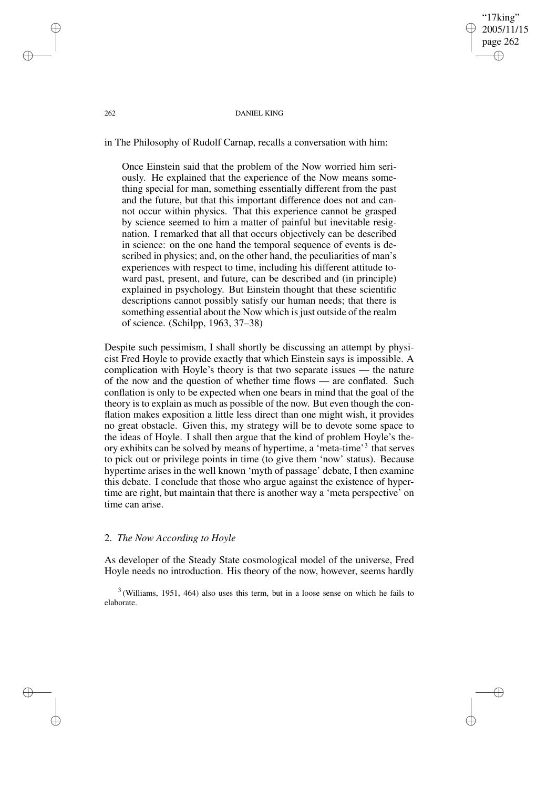## 262 DANIEL KING

'17king' 2005/11/15 page 262

✐

✐

✐

✐

in The Philosophy of Rudolf Carnap, recalls a conversation with him:

Once Einstein said that the problem of the Now worried him seriously. He explained that the experience of the Now means something special for man, something essentially different from the past and the future, but that this important difference does not and cannot occur within physics. That this experience cannot be grasped by science seemed to him a matter of painful but inevitable resignation. I remarked that all that occurs objectively can be described in science: on the one hand the temporal sequence of events is described in physics; and, on the other hand, the peculiarities of man's experiences with respect to time, including his different attitude toward past, present, and future, can be described and (in principle) explained in psychology. But Einstein thought that these scientific descriptions cannot possibly satisfy our human needs; that there is something essential about the Now which is just outside of the realm of science. (Schilpp, 1963, 37–38)

Despite such pessimism, I shall shortly be discussing an attempt by physicist Fred Hoyle to provide exactly that which Einstein says is impossible. A complication with Hoyle's theory is that two separate issues — the nature of the now and the question of whether time flows — are conflated. Such conflation is only to be expected when one bears in mind that the goal of the theory is to explain as much as possible of the now. But even though the conflation makes exposition a little less direct than one might wish, it provides no great obstacle. Given this, my strategy will be to devote some space to the ideas of Hoyle. I shall then argue that the kind of problem Hoyle's theory exhibits can be solved by means of hypertime, a 'meta-time'<sup>3</sup> that serves to pick out or privilege points in time (to give them 'now' status). Because hypertime arises in the well known 'myth of passage' debate, I then examine this debate. I conclude that those who argue against the existence of hypertime are right, but maintain that there is another way a 'meta perspective' on time can arise.

## 2. *The Now According to Hoyle*

As developer of the Steady State cosmological model of the universe, Fred Hoyle needs no introduction. His theory of the now, however, seems hardly

 $3$  (Williams, 1951, 464) also uses this term, but in a loose sense on which he fails to elaborate.

✐

✐

✐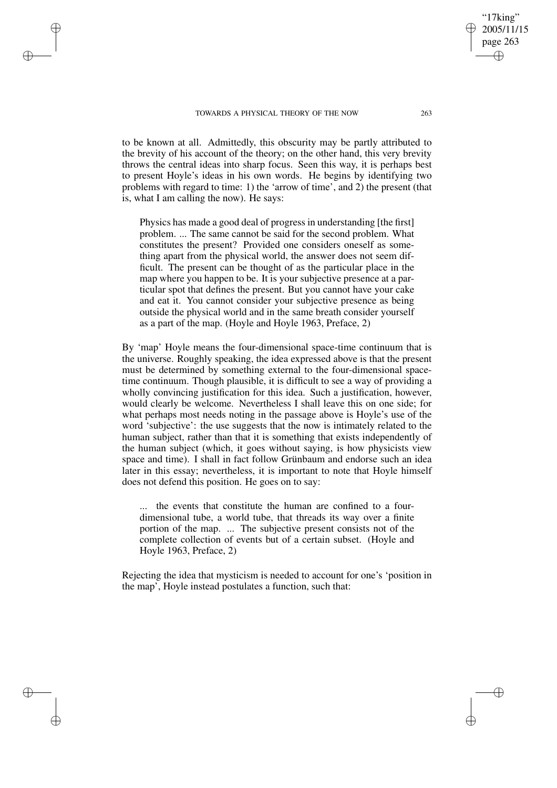✐

✐

✐

to be known at all. Admittedly, this obscurity may be partly attributed to the brevity of his account of the theory; on the other hand, this very brevity throws the central ideas into sharp focus. Seen this way, it is perhaps best to present Hoyle's ideas in his own words. He begins by identifying two problems with regard to time: 1) the 'arrow of time', and 2) the present (that is, what I am calling the now). He says:

Physics has made a good deal of progress in understanding [the first] problem. ... The same cannot be said for the second problem. What constitutes the present? Provided one considers oneself as something apart from the physical world, the answer does not seem difficult. The present can be thought of as the particular place in the map where you happen to be. It is your subjective presence at a particular spot that defines the present. But you cannot have your cake and eat it. You cannot consider your subjective presence as being outside the physical world and in the same breath consider yourself as a part of the map. (Hoyle and Hoyle 1963, Preface, 2)

By 'map' Hoyle means the four-dimensional space-time continuum that is the universe. Roughly speaking, the idea expressed above is that the present must be determined by something external to the four-dimensional spacetime continuum. Though plausible, it is difficult to see a way of providing a wholly convincing justification for this idea. Such a justification, however, would clearly be welcome. Nevertheless I shall leave this on one side; for what perhaps most needs noting in the passage above is Hoyle's use of the word 'subjective': the use suggests that the now is intimately related to the human subject, rather than that it is something that exists independently of the human subject (which, it goes without saying, is how physicists view space and time). I shall in fact follow Grünbaum and endorse such an idea later in this essay; nevertheless, it is important to note that Hoyle himself does not defend this position. He goes on to say:

... the events that constitute the human are confined to a fourdimensional tube, a world tube, that threads its way over a finite portion of the map. ... The subjective present consists not of the complete collection of events but of a certain subset. (Hoyle and Hoyle 1963, Preface, 2)

Rejecting the idea that mysticism is needed to account for one's 'position in the map', Hoyle instead postulates a function, such that:

"17king" 2005/11/15 page 263

✐

✐

✐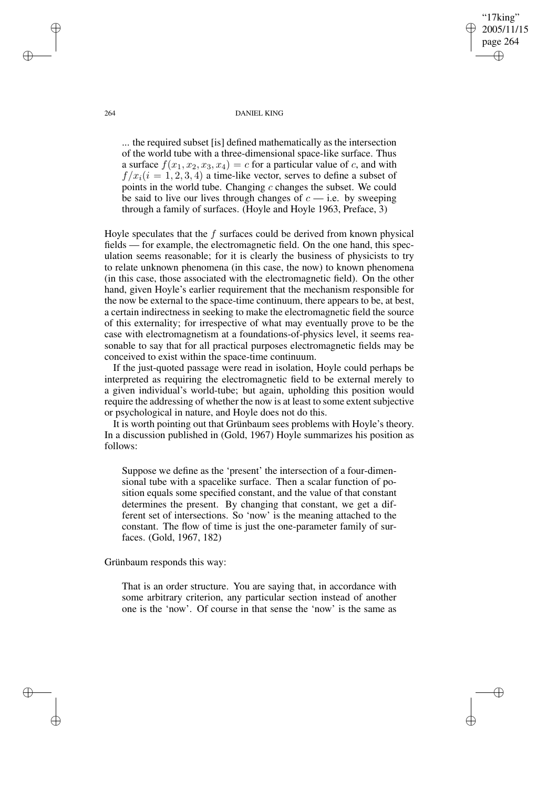#### 264 DANIEL KING

'17king" 2005/11/15 page 264

✐

✐

✐

✐

... the required subset [is] defined mathematically as the intersection of the world tube with a three-dimensional space-like surface. Thus a surface  $f(x_1, x_2, x_3, x_4) = c$  for a particular value of c, and with  $f(x_i(i = 1, 2, 3, 4)$  a time-like vector, serves to define a subset of points in the world tube. Changing  $c$  changes the subset. We could be said to live our lives through changes of  $c$  — i.e. by sweeping through a family of surfaces. (Hoyle and Hoyle 1963, Preface, 3)

Hoyle speculates that the  $f$  surfaces could be derived from known physical fields — for example, the electromagnetic field. On the one hand, this speculation seems reasonable; for it is clearly the business of physicists to try to relate unknown phenomena (in this case, the now) to known phenomena (in this case, those associated with the electromagnetic field). On the other hand, given Hoyle's earlier requirement that the mechanism responsible for the now be external to the space-time continuum, there appears to be, at best, a certain indirectness in seeking to make the electromagnetic field the source of this externality; for irrespective of what may eventually prove to be the case with electromagnetism at a foundations-of-physics level, it seems reasonable to say that for all practical purposes electromagnetic fields may be conceived to exist within the space-time continuum.

If the just-quoted passage were read in isolation, Hoyle could perhaps be interpreted as requiring the electromagnetic field to be external merely to a given individual's world-tube; but again, upholding this position would require the addressing of whether the now is at least to some extent subjective or psychological in nature, and Hoyle does not do this.

It is worth pointing out that Grünbaum sees problems with Hoyle's theory. In a discussion published in (Gold, 1967) Hoyle summarizes his position as follows:

Suppose we define as the 'present' the intersection of a four-dimensional tube with a spacelike surface. Then a scalar function of position equals some specified constant, and the value of that constant determines the present. By changing that constant, we get a different set of intersections. So 'now' is the meaning attached to the constant. The flow of time is just the one-parameter family of surfaces. (Gold, 1967, 182)

Grünbaum responds this way:

That is an order structure. You are saying that, in accordance with some arbitrary criterion, any particular section instead of another one is the 'now'. Of course in that sense the 'now' is the same as

✐

✐

✐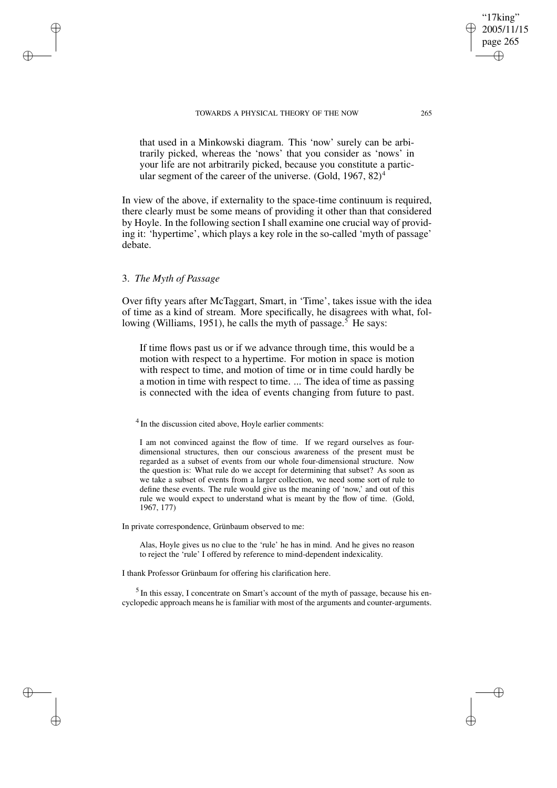## TOWARDS A PHYSICAL THEORY OF THE NOW 265

that used in a Minkowski diagram. This 'now' surely can be arbitrarily picked, whereas the 'nows' that you consider as 'nows' in your life are not arbitrarily picked, because you constitute a particular segment of the career of the universe. (Gold,  $1967, 82$ )<sup>4</sup>

In view of the above, if externality to the space-time continuum is required, there clearly must be some means of providing it other than that considered by Hoyle. In the following section I shall examine one crucial way of providing it: 'hypertime', which plays a key role in the so-called 'myth of passage' debate.

# 3. *The Myth of Passage*

✐

✐

✐

✐

Over fifty years after McTaggart, Smart, in 'Time', takes issue with the idea of time as a kind of stream. More specifically, he disagrees with what, following (Williams, 1951), he calls the myth of passage.<sup>5</sup> He says:

If time flows past us or if we advance through time, this would be a motion with respect to a hypertime. For motion in space is motion with respect to time, and motion of time or in time could hardly be a motion in time with respect to time. ... The idea of time as passing is connected with the idea of events changing from future to past.

<sup>4</sup> In the discussion cited above, Hoyle earlier comments:

I am not convinced against the flow of time. If we regard ourselves as fourdimensional structures, then our conscious awareness of the present must be regarded as a subset of events from our whole four-dimensional structure. Now the question is: What rule do we accept for determining that subset? As soon as we take a subset of events from a larger collection, we need some sort of rule to define these events. The rule would give us the meaning of 'now,' and out of this rule we would expect to understand what is meant by the flow of time. (Gold, 1967, 177)

In private correspondence, Grünbaum observed to me:

Alas, Hoyle gives us no clue to the 'rule' he has in mind. And he gives no reason to reject the 'rule' I offered by reference to mind-dependent indexicality.

I thank Professor Grünbaum for offering his clarification here.

<sup>5</sup> In this essay, I concentrate on Smart's account of the myth of passage, because his encyclopedic approach means he is familiar with most of the arguments and counter-arguments.

'17king' 2005/11/15 page 265

✐

✐

✐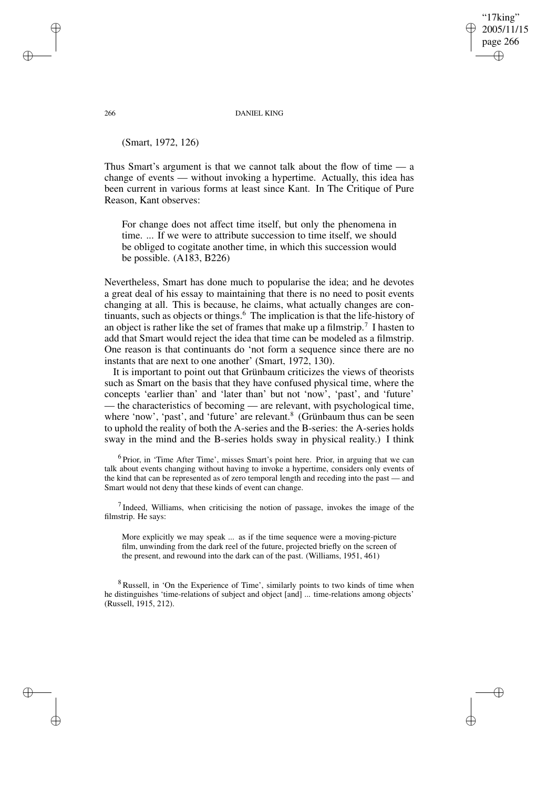## '17king' 2005/11/15 page 266 ✐ ✐

✐

✐

#### 266 DANIEL KING

(Smart, 1972, 126)

Thus Smart's argument is that we cannot talk about the flow of time — a change of events — without invoking a hypertime. Actually, this idea has been current in various forms at least since Kant. In The Critique of Pure Reason, Kant observes:

For change does not affect time itself, but only the phenomena in time. ... If we were to attribute succession to time itself, we should be obliged to cogitate another time, in which this succession would be possible. (A183, B226)

Nevertheless, Smart has done much to popularise the idea; and he devotes a great deal of his essay to maintaining that there is no need to posit events changing at all. This is because, he claims, what actually changes are continuants, such as objects or things.<sup>6</sup> The implication is that the life-history of an object is rather like the set of frames that make up a filmstrip.<sup>7</sup> I hasten to add that Smart would reject the idea that time can be modeled as a filmstrip. One reason is that continuants do 'not form a sequence since there are no instants that are next to one another' (Smart, 1972, 130).

It is important to point out that Grünbaum criticizes the views of theorists such as Smart on the basis that they have confused physical time, where the concepts 'earlier than' and 'later than' but not 'now', 'past', and 'future' — the characteristics of becoming — are relevant, with psychological time, where 'now', 'past', and 'future' are relevant.<sup>8</sup> (Grünbaum thus can be seen to uphold the reality of both the A-series and the B-series: the A-series holds sway in the mind and the B-series holds sway in physical reality.) I think

<sup>6</sup> Prior, in 'Time After Time', misses Smart's point here. Prior, in arguing that we can talk about events changing without having to invoke a hypertime, considers only events of the kind that can be represented as of zero temporal length and receding into the past — and Smart would not deny that these kinds of event can change.

 $<sup>7</sup>$  Indeed, Williams, when criticising the notion of passage, invokes the image of the</sup> filmstrip. He says:

More explicitly we may speak ... as if the time sequence were a moving-picture film, unwinding from the dark reel of the future, projected briefly on the screen of the present, and rewound into the dark can of the past. (Williams, 1951, 461)

<sup>8</sup> Russell, in 'On the Experience of Time', similarly points to two kinds of time when he distinguishes 'time-relations of subject and object [and] ... time-relations among objects' (Russell, 1915, 212).

✐

✐

✐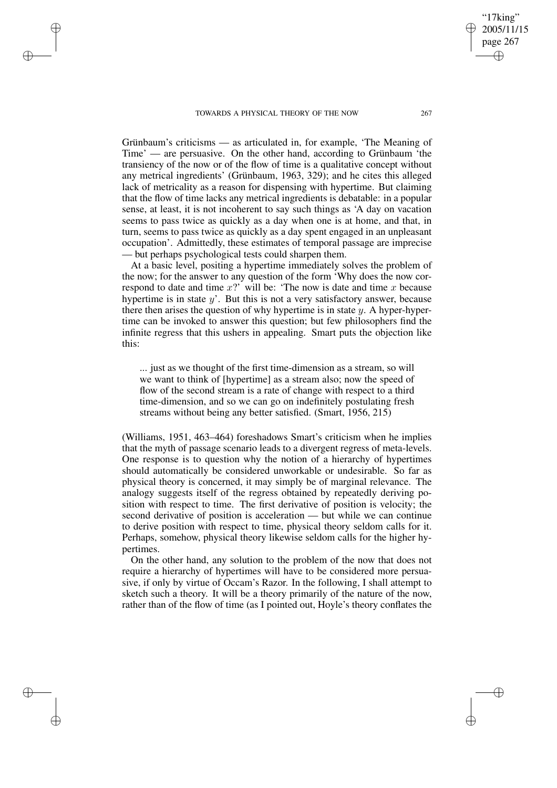## TOWARDS A PHYSICAL THEORY OF THE NOW 267

✐

✐

✐

✐

Grünbaum's criticisms — as articulated in, for example, 'The Meaning of Time' — are persuasive. On the other hand, according to Grünbaum 'the transiency of the now or of the flow of time is a qualitative concept without any metrical ingredients' (Grünbaum, 1963, 329); and he cites this alleged lack of metricality as a reason for dispensing with hypertime. But claiming that the flow of time lacks any metrical ingredients is debatable: in a popular sense, at least, it is not incoherent to say such things as 'A day on vacation seems to pass twice as quickly as a day when one is at home, and that, in turn, seems to pass twice as quickly as a day spent engaged in an unpleasant occupation'. Admittedly, these estimates of temporal passage are imprecise — but perhaps psychological tests could sharpen them.

At a basic level, positing a hypertime immediately solves the problem of the now; for the answer to any question of the form 'Why does the now correspond to date and time  $x$ ?' will be: 'The now is date and time  $x$  because hypertime is in state  $y'$ . But this is not a very satisfactory answer, because there then arises the question of why hypertime is in state  $y$ . A hyper-hypertime can be invoked to answer this question; but few philosophers find the infinite regress that this ushers in appealing. Smart puts the objection like this:

... just as we thought of the first time-dimension as a stream, so will we want to think of [hypertime] as a stream also; now the speed of flow of the second stream is a rate of change with respect to a third time-dimension, and so we can go on indefinitely postulating fresh streams without being any better satisfied. (Smart, 1956, 215)

(Williams, 1951, 463–464) foreshadows Smart's criticism when he implies that the myth of passage scenario leads to a divergent regress of meta-levels. One response is to question why the notion of a hierarchy of hypertimes should automatically be considered unworkable or undesirable. So far as physical theory is concerned, it may simply be of marginal relevance. The analogy suggests itself of the regress obtained by repeatedly deriving position with respect to time. The first derivative of position is velocity; the second derivative of position is acceleration — but while we can continue to derive position with respect to time, physical theory seldom calls for it. Perhaps, somehow, physical theory likewise seldom calls for the higher hypertimes.

On the other hand, any solution to the problem of the now that does not require a hierarchy of hypertimes will have to be considered more persuasive, if only by virtue of Occam's Razor. In the following, I shall attempt to sketch such a theory. It will be a theory primarily of the nature of the now, rather than of the flow of time (as I pointed out, Hoyle's theory conflates the

"17king" 2005/11/15 page 267

✐

✐

✐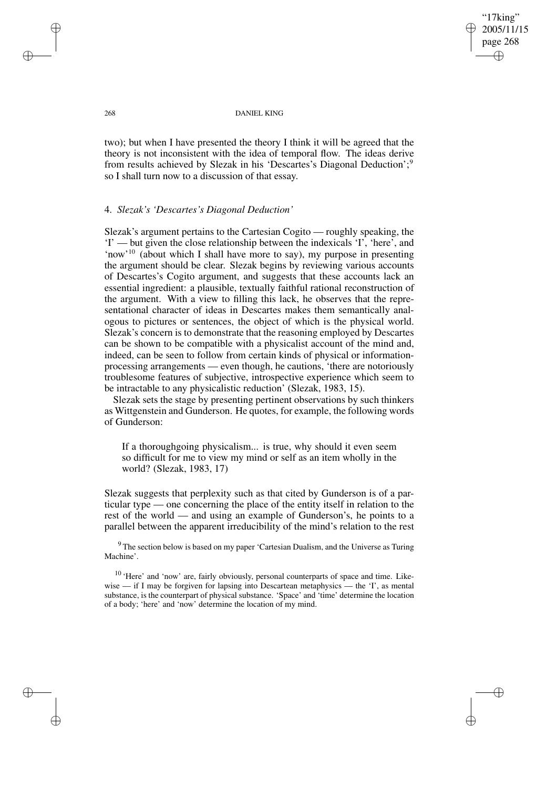"17king" 2005/11/15 page 268 ✐ ✐

✐

✐

#### 268 DANIEL KING

two); but when I have presented the theory I think it will be agreed that the theory is not inconsistent with the idea of temporal flow. The ideas derive from results achieved by Slezak in his 'Descartes's Diagonal Deduction';<sup>9</sup> so I shall turn now to a discussion of that essay.

## 4. *Slezak's 'Descartes's Diagonal Deduction'*

Slezak's argument pertains to the Cartesian Cogito — roughly speaking, the 'I' — but given the close relationship between the indexicals 'I', 'here', and 'now'<sup>10</sup> (about which I shall have more to say), my purpose in presenting the argument should be clear. Slezak begins by reviewing various accounts of Descartes's Cogito argument, and suggests that these accounts lack an essential ingredient: a plausible, textually faithful rational reconstruction of the argument. With a view to filling this lack, he observes that the representational character of ideas in Descartes makes them semantically analogous to pictures or sentences, the object of which is the physical world. Slezak's concern is to demonstrate that the reasoning employed by Descartes can be shown to be compatible with a physicalist account of the mind and, indeed, can be seen to follow from certain kinds of physical or informationprocessing arrangements — even though, he cautions, 'there are notoriously troublesome features of subjective, introspective experience which seem to be intractable to any physicalistic reduction' (Slezak, 1983, 15).

Slezak sets the stage by presenting pertinent observations by such thinkers as Wittgenstein and Gunderson. He quotes, for example, the following words of Gunderson:

If a thoroughgoing physicalism... is true, why should it even seem so difficult for me to view my mind or self as an item wholly in the world? (Slezak, 1983, 17)

Slezak suggests that perplexity such as that cited by Gunderson is of a particular type — one concerning the place of the entity itself in relation to the rest of the world — and using an example of Gunderson's, he points to a parallel between the apparent irreducibility of the mind's relation to the rest

<sup>9</sup> The section below is based on my paper 'Cartesian Dualism, and the Universe as Turing Machine'.

<sup>10</sup> 'Here' and 'now' are, fairly obviously, personal counterparts of space and time. Likewise — if I may be forgiven for lapsing into Descartean metaphysics — the 'I', as mental substance, is the counterpart of physical substance. 'Space' and 'time' determine the location of a body; 'here' and 'now' determine the location of my mind.

✐

✐

✐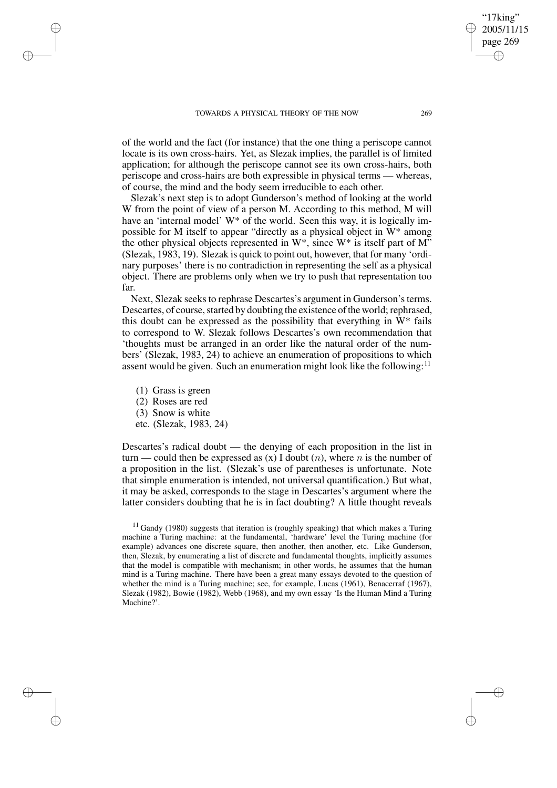of the world and the fact (for instance) that the one thing a periscope cannot locate is its own cross-hairs. Yet, as Slezak implies, the parallel is of limited application; for although the periscope cannot see its own cross-hairs, both periscope and cross-hairs are both expressible in physical terms — whereas, of course, the mind and the body seem irreducible to each other.

Slezak's next step is to adopt Gunderson's method of looking at the world W from the point of view of a person M. According to this method, M will have an 'internal model' W<sup>\*</sup> of the world. Seen this way, it is logically impossible for M itself to appear "directly as a physical object in W\* among the other physical objects represented in  $W^*$ , since  $W^*$  is itself part of  $M^"$ (Slezak, 1983, 19). Slezak is quick to point out, however, that for many 'ordinary purposes' there is no contradiction in representing the self as a physical object. There are problems only when we try to push that representation too far.

Next, Slezak seeks to rephrase Descartes's argument in Gunderson's terms. Descartes, of course, started by doubting the existence of the world; rephrased, this doubt can be expressed as the possibility that everything in W\* fails to correspond to W. Slezak follows Descartes's own recommendation that 'thoughts must be arranged in an order like the natural order of the numbers' (Slezak, 1983, 24) to achieve an enumeration of propositions to which assent would be given. Such an enumeration might look like the following:<sup>11</sup>

(1) Grass is green

✐

✐

✐

✐

- (2) Roses are red
- (3) Snow is white
- etc. (Slezak, 1983, 24)

Descartes's radical doubt — the denying of each proposition in the list in turn — could then be expressed as  $(x)$  I doubt  $(n)$ , where n is the number of a proposition in the list. (Slezak's use of parentheses is unfortunate. Note that simple enumeration is intended, not universal quantification.) But what, it may be asked, corresponds to the stage in Descartes's argument where the latter considers doubting that he is in fact doubting? A little thought reveals

'17king 2005/11/15 page 269

✐

✐

✐

 $11$  Gandy (1980) suggests that iteration is (roughly speaking) that which makes a Turing machine a Turing machine: at the fundamental, 'hardware' level the Turing machine (for example) advances one discrete square, then another, then another, etc. Like Gunderson, then, Slezak, by enumerating a list of discrete and fundamental thoughts, implicitly assumes that the model is compatible with mechanism; in other words, he assumes that the human mind is a Turing machine. There have been a great many essays devoted to the question of whether the mind is a Turing machine; see, for example, Lucas (1961), Benacerraf (1967), Slezak (1982), Bowie (1982), Webb (1968), and my own essay 'Is the Human Mind a Turing Machine?'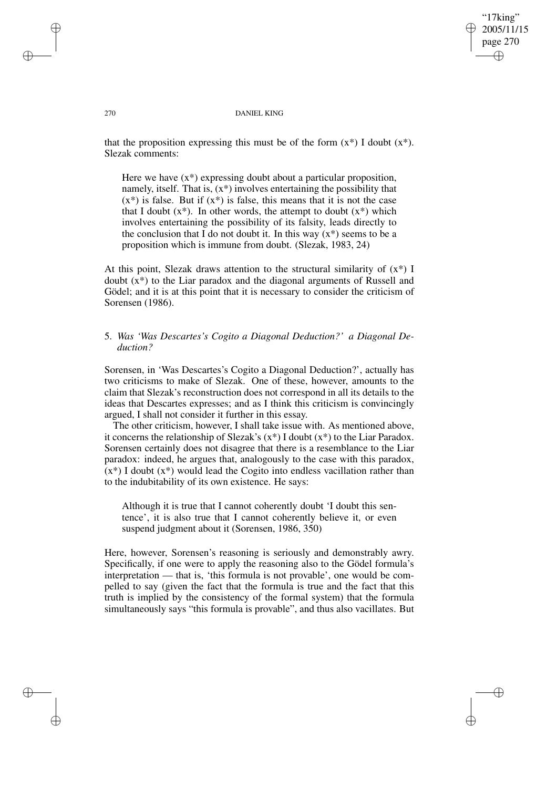"17king" 2005/11/15 page 270 ✐ ✐

✐

✐

#### 270 DANIEL KING

that the proposition expressing this must be of the form  $(x^*)$  I doubt  $(x^*)$ . Slezak comments:

Here we have  $(x^*)$  expressing doubt about a particular proposition, namely, itself. That is,  $(x^*)$  involves entertaining the possibility that  $(x^*)$  is false. But if  $(x^*)$  is false, this means that it is not the case that I doubt  $(x^*)$ . In other words, the attempt to doubt  $(x^*)$  which involves entertaining the possibility of its falsity, leads directly to the conclusion that I do not doubt it. In this way  $(x^*)$  seems to be a proposition which is immune from doubt. (Slezak, 1983, 24)

At this point, Slezak draws attention to the structural similarity of  $(x^*)$  I doubt (x\*) to the Liar paradox and the diagonal arguments of Russell and Gödel; and it is at this point that it is necessary to consider the criticism of Sorensen (1986).

# 5. *Was 'Was Descartes's Cogito a Diagonal Deduction?' a Diagonal Deduction?*

Sorensen, in 'Was Descartes's Cogito a Diagonal Deduction?', actually has two criticisms to make of Slezak. One of these, however, amounts to the claim that Slezak's reconstruction does not correspond in all its details to the ideas that Descartes expresses; and as I think this criticism is convincingly argued, I shall not consider it further in this essay.

The other criticism, however, I shall take issue with. As mentioned above, it concerns the relationship of Slezak's  $(x^*)$  I doubt  $(x^*)$  to the Liar Paradox. Sorensen certainly does not disagree that there is a resemblance to the Liar paradox: indeed, he argues that, analogously to the case with this paradox,  $(x^*)$  I doubt  $(x^*)$  would lead the Cogito into endless vacillation rather than to the indubitability of its own existence. He says:

Although it is true that I cannot coherently doubt 'I doubt this sentence', it is also true that I cannot coherently believe it, or even suspend judgment about it (Sorensen, 1986, 350)

Here, however, Sorensen's reasoning is seriously and demonstrably awry. Specifically, if one were to apply the reasoning also to the Gödel formula's interpretation — that is, 'this formula is not provable', one would be compelled to say (given the fact that the formula is true and the fact that this truth is implied by the consistency of the formal system) that the formula simultaneously says "this formula is provable", and thus also vacillates. But

✐

✐

✐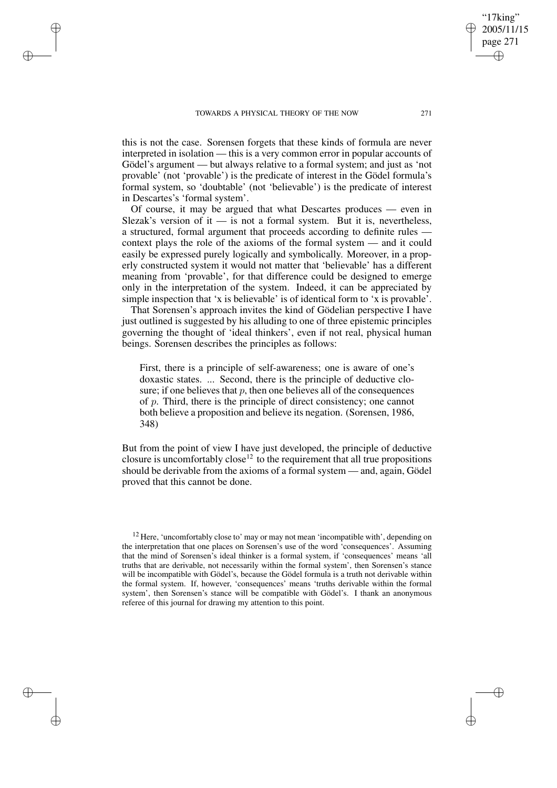✐

✐

✐

this is not the case. Sorensen forgets that these kinds of formula are never interpreted in isolation — this is a very common error in popular accounts of Gödel's argument — but always relative to a formal system; and just as 'not provable' (not 'provable') is the predicate of interest in the Gödel formula's formal system, so 'doubtable' (not 'believable') is the predicate of interest in Descartes's 'formal system'.

Of course, it may be argued that what Descartes produces — even in Slezak's version of it  $-$  is not a formal system. But it is, nevertheless, a structured, formal argument that proceeds according to definite rules context plays the role of the axioms of the formal system — and it could easily be expressed purely logically and symbolically. Moreover, in a properly constructed system it would not matter that 'believable' has a different meaning from 'provable', for that difference could be designed to emerge only in the interpretation of the system. Indeed, it can be appreciated by simple inspection that 'x is believable' is of identical form to 'x is provable'.

That Sorensen's approach invites the kind of Gödelian perspective I have just outlined is suggested by his alluding to one of three epistemic principles governing the thought of 'ideal thinkers', even if not real, physical human beings. Sorensen describes the principles as follows:

First, there is a principle of self-awareness; one is aware of one's doxastic states. ... Second, there is the principle of deductive closure; if one believes that  $p$ , then one believes all of the consequences of p. Third, there is the principle of direct consistency; one cannot both believe a proposition and believe its negation. (Sorensen, 1986, 348)

But from the point of view I have just developed, the principle of deductive closure is uncomfortably  $\csc^{12}$  to the requirement that all true propositions should be derivable from the axioms of a formal system — and, again, Gödel proved that this cannot be done.

'17king 2005/11/15 page 271

✐

✐

✐

<sup>&</sup>lt;sup>12</sup> Here, 'uncomfortably close to' may or may not mean 'incompatible with', depending on the interpretation that one places on Sorensen's use of the word 'consequences'. Assuming that the mind of Sorensen's ideal thinker is a formal system, if 'consequences' means 'all truths that are derivable, not necessarily within the formal system', then Sorensen's stance will be incompatible with Gödel's, because the Gödel formula is a truth not derivable within the formal system. If, however, 'consequences' means 'truths derivable within the formal system', then Sorensen's stance will be compatible with Gödel's. I thank an anonymous referee of this journal for drawing my attention to this point.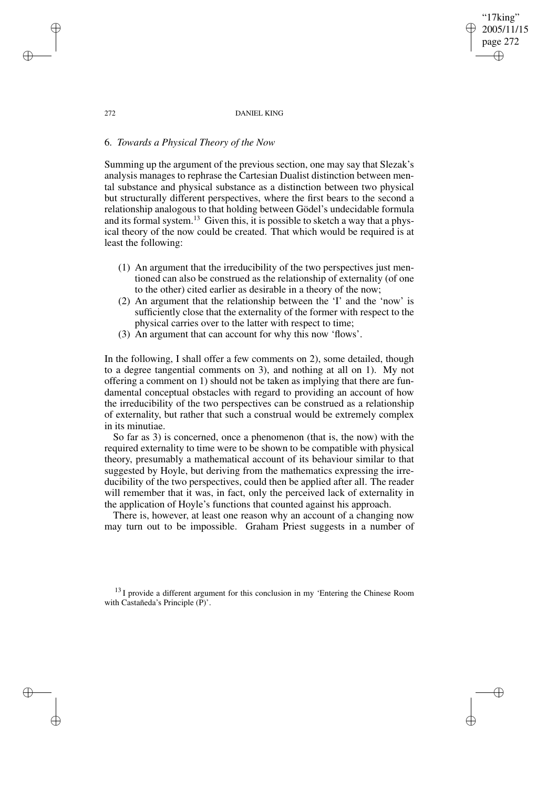page 272 ✐

✐

"17king" 2005/11/15

✐

✐

#### 272 DANIEL KING

# 6. *Towards a Physical Theory of the Now*

Summing up the argument of the previous section, one may say that Slezak's analysis manages to rephrase the Cartesian Dualist distinction between mental substance and physical substance as a distinction between two physical but structurally different perspectives, where the first bears to the second a relationship analogous to that holding between Gödel's undecidable formula and its formal system.<sup>13</sup> Given this, it is possible to sketch a way that a physical theory of the now could be created. That which would be required is at least the following:

- (1) An argument that the irreducibility of the two perspectives just mentioned can also be construed as the relationship of externality (of one to the other) cited earlier as desirable in a theory of the now;
- (2) An argument that the relationship between the 'I' and the 'now' is sufficiently close that the externality of the former with respect to the physical carries over to the latter with respect to time;
- (3) An argument that can account for why this now 'flows'.

In the following, I shall offer a few comments on 2), some detailed, though to a degree tangential comments on 3), and nothing at all on 1). My not offering a comment on 1) should not be taken as implying that there are fundamental conceptual obstacles with regard to providing an account of how the irreducibility of the two perspectives can be construed as a relationship of externality, but rather that such a construal would be extremely complex in its minutiae.

So far as 3) is concerned, once a phenomenon (that is, the now) with the required externality to time were to be shown to be compatible with physical theory, presumably a mathematical account of its behaviour similar to that suggested by Hoyle, but deriving from the mathematics expressing the irreducibility of the two perspectives, could then be applied after all. The reader will remember that it was, in fact, only the perceived lack of externality in the application of Hoyle's functions that counted against his approach.

There is, however, at least one reason why an account of a changing now may turn out to be impossible. Graham Priest suggests in a number of

<sup>13</sup> I provide a different argument for this conclusion in my 'Entering the Chinese Room with Castañeda's Principle (P)'.

✐

✐

✐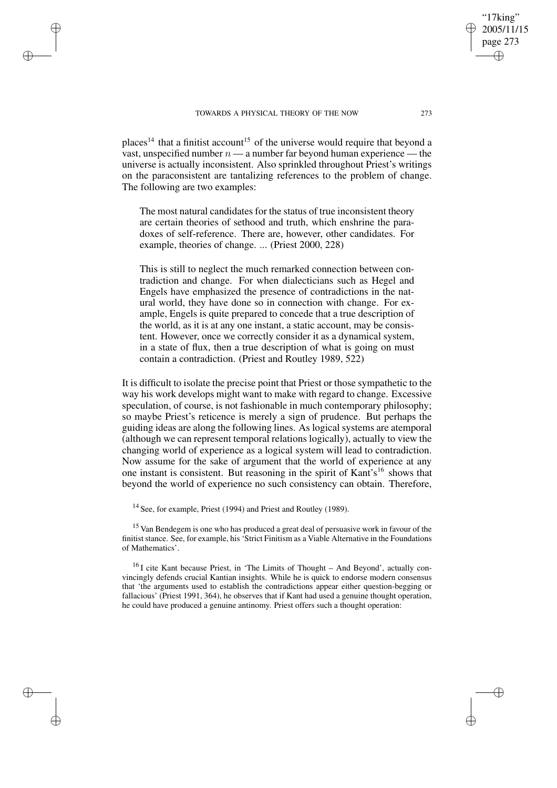✐

✐

✐

places<sup>14</sup> that a finitist account<sup>15</sup> of the universe would require that beyond a vast, unspecified number  $n - a$  number far beyond human experience — the universe is actually inconsistent. Also sprinkled throughout Priest's writings on the paraconsistent are tantalizing references to the problem of change. The following are two examples:

The most natural candidates for the status of true inconsistent theory are certain theories of sethood and truth, which enshrine the paradoxes of self-reference. There are, however, other candidates. For example, theories of change. ... (Priest 2000, 228)

This is still to neglect the much remarked connection between contradiction and change. For when dialecticians such as Hegel and Engels have emphasized the presence of contradictions in the natural world, they have done so in connection with change. For example, Engels is quite prepared to concede that a true description of the world, as it is at any one instant, a static account, may be consistent. However, once we correctly consider it as a dynamical system, in a state of flux, then a true description of what is going on must contain a contradiction. (Priest and Routley 1989, 522)

It is difficult to isolate the precise point that Priest or those sympathetic to the way his work develops might want to make with regard to change. Excessive speculation, of course, is not fashionable in much contemporary philosophy; so maybe Priest's reticence is merely a sign of prudence. But perhaps the guiding ideas are along the following lines. As logical systems are atemporal (although we can represent temporal relations logically), actually to view the changing world of experience as a logical system will lead to contradiction. Now assume for the sake of argument that the world of experience at any one instant is consistent. But reasoning in the spirit of Kant's <sup>16</sup> shows that beyond the world of experience no such consistency can obtain. Therefore,

<sup>14</sup> See, for example, Priest (1994) and Priest and Routley (1989).

<sup>15</sup> Van Bendegem is one who has produced a great deal of persuasive work in favour of the finitist stance. See, for example, his 'Strict Finitism as a Viable Alternative in the Foundations of Mathematics'.

 $16$  I cite Kant because Priest, in 'The Limits of Thought – And Beyond', actually convincingly defends crucial Kantian insights. While he is quick to endorse modern consensus that 'the arguments used to establish the contradictions appear either question-begging or fallacious' (Priest 1991, 364), he observes that if Kant had used a genuine thought operation, he could have produced a genuine antinomy. Priest offers such a thought operation:

'17king 2005/11/15 page 273

✐

✐

✐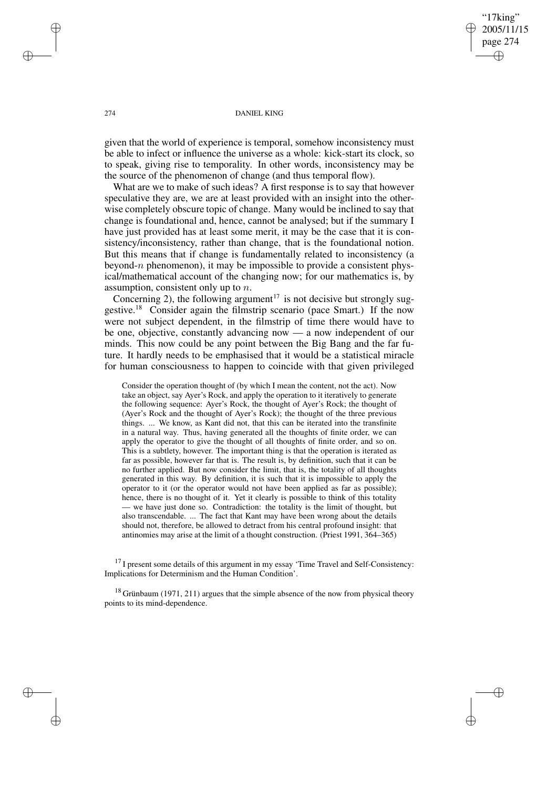"17king" 2005/11/15 page 274 ✐ ✐

✐

✐

#### 274 DANIEL KING

given that the world of experience is temporal, somehow inconsistency must be able to infect or influence the universe as a whole: kick-start its clock, so to speak, giving rise to temporality. In other words, inconsistency may be the source of the phenomenon of change (and thus temporal flow).

What are we to make of such ideas? A first response is to say that however speculative they are, we are at least provided with an insight into the otherwise completely obscure topic of change. Many would be inclined to say that change is foundational and, hence, cannot be analysed; but if the summary I have just provided has at least some merit, it may be the case that it is consistency/inconsistency, rather than change, that is the foundational notion. But this means that if change is fundamentally related to inconsistency (a beyond- $n$  phenomenon), it may be impossible to provide a consistent physical/mathematical account of the changing now; for our mathematics is, by assumption, consistent only up to  $n$ .

Concerning 2), the following argument<sup>17</sup> is not decisive but strongly suggestive.<sup>18</sup> Consider again the filmstrip scenario (pace Smart.) If the now were not subject dependent, in the filmstrip of time there would have to be one, objective, constantly advancing now — a now independent of our minds. This now could be any point between the Big Bang and the far future. It hardly needs to be emphasised that it would be a statistical miracle for human consciousness to happen to coincide with that given privileged

Consider the operation thought of (by which I mean the content, not the act). Now take an object, say Ayer's Rock, and apply the operation to it iteratively to generate the following sequence: Ayer's Rock, the thought of Ayer's Rock; the thought of (Ayer's Rock and the thought of Ayer's Rock); the thought of the three previous things. ... We know, as Kant did not, that this can be iterated into the transfinite in a natural way. Thus, having generated all the thoughts of finite order, we can apply the operator to give the thought of all thoughts of finite order, and so on. This is a subtlety, however. The important thing is that the operation is iterated as far as possible, however far that is. The result is, by definition, such that it can be no further applied. But now consider the limit, that is, the totality of all thoughts generated in this way. By definition, it is such that it is impossible to apply the operator to it (or the operator would not have been applied as far as possible); hence, there is no thought of it. Yet it clearly is possible to think of this totality — we have just done so. Contradiction: the totality is the limit of thought, but also transcendable. ... The fact that Kant may have been wrong about the details should not, therefore, be allowed to detract from his central profound insight: that antinomies may arise at the limit of a thought construction. (Priest 1991, 364–365)

 $17$  I present some details of this argument in my essay 'Time Travel and Self-Consistency: Implications for Determinism and the Human Condition'.

 $18$  Grünbaum (1971, 211) argues that the simple absence of the now from physical theory points to its mind-dependence.

✐

✐

✐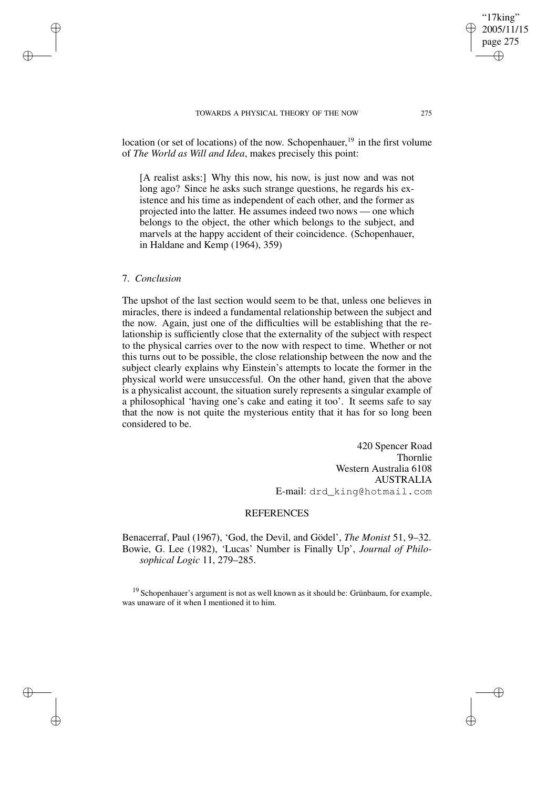## TOWARDS A PHYSICAL THEORY OF THE NOW 275

location (or set of locations) of the now. Schopenhauer,<sup>19</sup> in the first volume of *The World as Will and Idea*, makes precisely this point:

[A realist asks:] Why this now, his now, is just now and was not long ago? Since he asks such strange questions, he regards his existence and his time as independent of each other, and the former as projected into the latter. He assumes indeed two nows — one which belongs to the object, the other which belongs to the subject, and marvels at the happy accident of their coincidence. (Schopenhauer, in Haldane and Kemp (1964), 359)

## 7. *Conclusion*

✐

✐

✐

✐

The upshot of the last section would seem to be that, unless one believes in miracles, there is indeed a fundamental relationship between the subject and the now. Again, just one of the difficulties will be establishing that the relationship is sufficiently close that the externality of the subject with respect to the physical carries over to the now with respect to time. Whether or not this turns out to be possible, the close relationship between the now and the subject clearly explains why Einstein's attempts to locate the former in the physical world were unsuccessful. On the other hand, given that the above is a physicalist account, the situation surely represents a singular example of a philosophical 'having one's cake and eating it too'. It seems safe to say that the now is not quite the mysterious entity that it has for so long been considered to be.

> 420 Spencer Road Thornlie Western Australia 6108 AUSTRALIA E-mail: drd\_king@hotmail.com

## **REFERENCES**

Benacerraf, Paul (1967), 'God, the Devil, and Gödel', *The Monist* 51, 9–32. Bowie, G. Lee (1982), 'Lucas' Number is Finally Up', *Journal of Philosophical Logic* 11, 279–285.

<sup>19</sup> Schopenhauer's argument is not as well known as it should be: Grünbaum, for example, was unaware of it when I mentioned it to him.

"17king" 2005/11/15 page 275

✐

✐

✐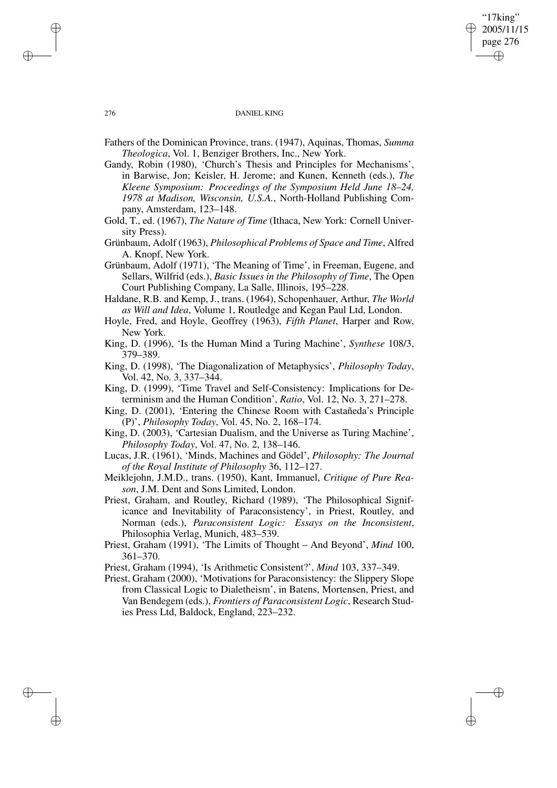"17king" 2005/11/15 page 276 ✐ ✐

✐

#### 276 DANIEL KING

- Fathers of the Dominican Province, trans. (1947), Aquinas, Thomas, *Summa Theologica*, Vol. 1, Benziger Brothers, Inc., New York.
- Gandy, Robin (1980), 'Church's Thesis and Principles for Mechanisms', in Barwise, Jon; Keisler, H. Jerome; and Kunen, Kenneth (eds.), *The Kleene Symposium: Proceedings of the Symposium Held June 18–24, 1978 at Madison, Wisconsin, U.S.A.*, North-Holland Publishing Company, Amsterdam, 123–148.
- Gold, T., ed. (1967), *The Nature of Time* (Ithaca, New York: Cornell University Press).
- Grünbaum, Adolf (1963), *Philosophical Problems of Space and Time*, Alfred A. Knopf, New York.
- Grünbaum, Adolf (1971), 'The Meaning of Time', in Freeman, Eugene, and Sellars, Wilfrid (eds.), *Basic Issues in the Philosophy of Time*, The Open Court Publishing Company, La Salle, Illinois, 195–228.
- Haldane, R.B. and Kemp, J., trans. (1964), Schopenhauer, Arthur, *The World as Will and Idea*, Volume 1, Routledge and Kegan Paul Ltd, London.
- Hoyle, Fred, and Hoyle, Geoffrey (1963), *Fifth Planet*, Harper and Row, New York.
- King, D. (1996), 'Is the Human Mind a Turing Machine', *Synthese* 108/3, 379–389.
- King, D. (1998), 'The Diagonalization of Metaphysics', *Philosophy Today*, Vol. 42, No. 3, 337–344.
- King, D. (1999), 'Time Travel and Self-Consistency: Implications for Determinism and the Human Condition', *Ratio*, Vol. 12, No. 3, 271–278.
- King, D. (2001), 'Entering the Chinese Room with Castañeda's Principle (P)', *Philosophy Today*, Vol. 45, No. 2, 168–174.
- King, D. (2003), 'Cartesian Dualism, and the Universe as Turing Machine', *Philosophy Today*, Vol. 47, No. 2, 138–146.
- Lucas, J.R. (1961), 'Minds, Machines and Gödel', *Philosophy: The Journal of the Royal Institute of Philosophy* 36, 112–127.
- Meiklejohn, J.M.D., trans. (1950), Kant, Immanuel, *Critique of Pure Reason*, J.M. Dent and Sons Limited, London.
- Priest, Graham, and Routley, Richard (1989), 'The Philosophical Significance and Inevitability of Paraconsistency', in Priest, Routley, and Norman (eds.), *Paraconsistent Logic: Essays on the Inconsistent*, Philosophia Verlag, Munich, 483–539.
- Priest, Graham (1991), 'The Limits of Thought And Beyond', *Mind* 100, 361–370.
- Priest, Graham (1994), 'Is Arithmetic Consistent?', *Mind* 103, 337–349.
- Priest, Graham (2000), 'Motivations for Paraconsistency: the Slippery Slope from Classical Logic to Dialetheism', in Batens, Mortensen, Priest, and Van Bendegem (eds.), *Frontiers of Paraconsistent Logic*, Research Studies Press Ltd, Baldock, England, 223–232.

✐

✐

✐